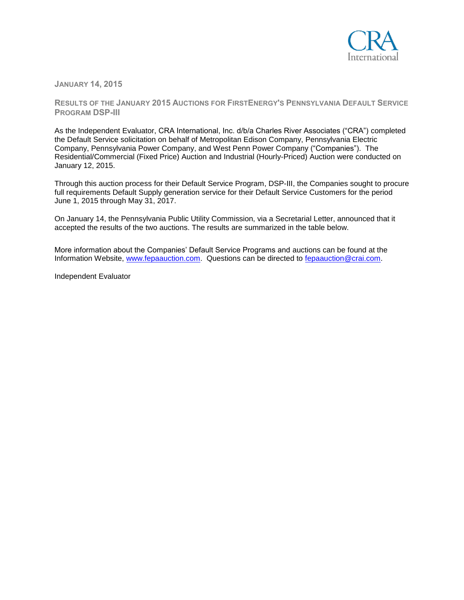

**JANUARY 14, 2015**

**RESULTS OF THE JANUARY 2015 AUCTIONS FOR FIRSTENERGY'S PENNSYLVANIA DEFAULT SERVICE PROGRAM DSP-III**

As the Independent Evaluator, CRA International, Inc. d/b/a Charles River Associates ("CRA") completed the Default Service solicitation on behalf of Metropolitan Edison Company, Pennsylvania Electric Company, Pennsylvania Power Company, and West Penn Power Company ("Companies"). The Residential/Commercial (Fixed Price) Auction and Industrial (Hourly-Priced) Auction were conducted on January 12, 2015.

Through this auction process for their Default Service Program, DSP-III, the Companies sought to procure full requirements Default Supply generation service for their Default Service Customers for the period June 1, 2015 through May 31, 2017.

On January 14, the Pennsylvania Public Utility Commission, via a Secretarial Letter, announced that it accepted the results of the two auctions. The results are summarized in the table below.

More information about the Companies' Default Service Programs and auctions can be found at the Information Website, [www.fepaauction.com.](http://www.fepaauction.com/) Questions can be directed to [fepaauction@crai.com.](mailto:fepaauction@crai.com)

Independent Evaluator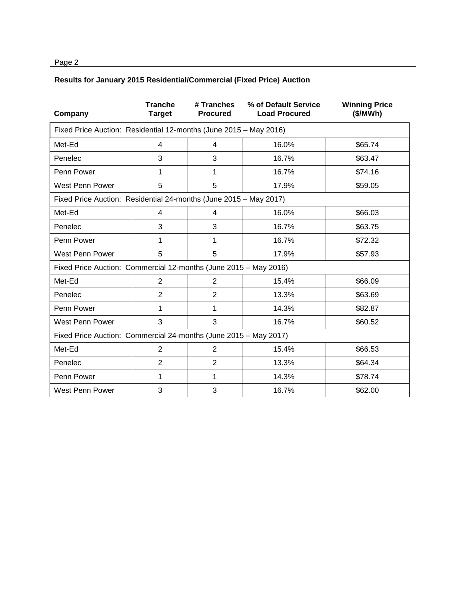## Page 2

## **Results for January 2015 Residential/Commercial (Fixed Price) Auction**

| Company                                                           | <b>Tranche</b><br><b>Target</b> | # Tranches<br><b>Procured</b> | % of Default Service<br><b>Load Procured</b> | <b>Winning Price</b><br>(\$/MWh) |  |  |  |
|-------------------------------------------------------------------|---------------------------------|-------------------------------|----------------------------------------------|----------------------------------|--|--|--|
| Fixed Price Auction: Residential 12-months (June 2015 - May 2016) |                                 |                               |                                              |                                  |  |  |  |
| Met-Ed                                                            | $\overline{4}$                  | 4                             | 16.0%                                        | \$65.74                          |  |  |  |
| Penelec                                                           | 3                               | 3                             | 16.7%                                        | \$63.47                          |  |  |  |
| Penn Power                                                        | 1                               | 1                             | 16.7%                                        | \$74.16                          |  |  |  |
| West Penn Power                                                   | 5                               | 5                             | 17.9%                                        | \$59.05                          |  |  |  |
| Fixed Price Auction: Residential 24-months (June 2015 - May 2017) |                                 |                               |                                              |                                  |  |  |  |
| Met-Ed                                                            | $\overline{4}$                  | 4                             | 16.0%                                        | \$66.03                          |  |  |  |
| Penelec                                                           | 3                               | 3                             | 16.7%                                        | \$63.75                          |  |  |  |
| Penn Power                                                        | 1                               | 1                             | 16.7%                                        | \$72.32                          |  |  |  |
| West Penn Power                                                   | 5                               | 5                             | 17.9%                                        | \$57.93                          |  |  |  |
| Fixed Price Auction: Commercial 12-months (June 2015 - May 2016)  |                                 |                               |                                              |                                  |  |  |  |
| Met-Ed                                                            | $\overline{2}$                  | $\overline{2}$                | 15.4%                                        | \$66.09                          |  |  |  |
| Penelec                                                           | $\overline{2}$                  | $\overline{2}$                | 13.3%                                        | \$63.69                          |  |  |  |
| Penn Power                                                        | 1                               | 1                             | 14.3%                                        | \$82.87                          |  |  |  |
| West Penn Power                                                   | 3                               | 3                             | 16.7%                                        | \$60.52                          |  |  |  |
| Fixed Price Auction: Commercial 24-months (June 2015 - May 2017)  |                                 |                               |                                              |                                  |  |  |  |
| Met-Ed                                                            | 2                               | $\overline{2}$                | 15.4%                                        | \$66.53                          |  |  |  |
| Penelec                                                           | $\overline{2}$                  | $\overline{2}$                | 13.3%                                        | \$64.34                          |  |  |  |
| Penn Power                                                        | 1                               | 1                             | 14.3%                                        | \$78.74                          |  |  |  |
| West Penn Power                                                   | 3                               | 3                             | 16.7%                                        | \$62.00                          |  |  |  |